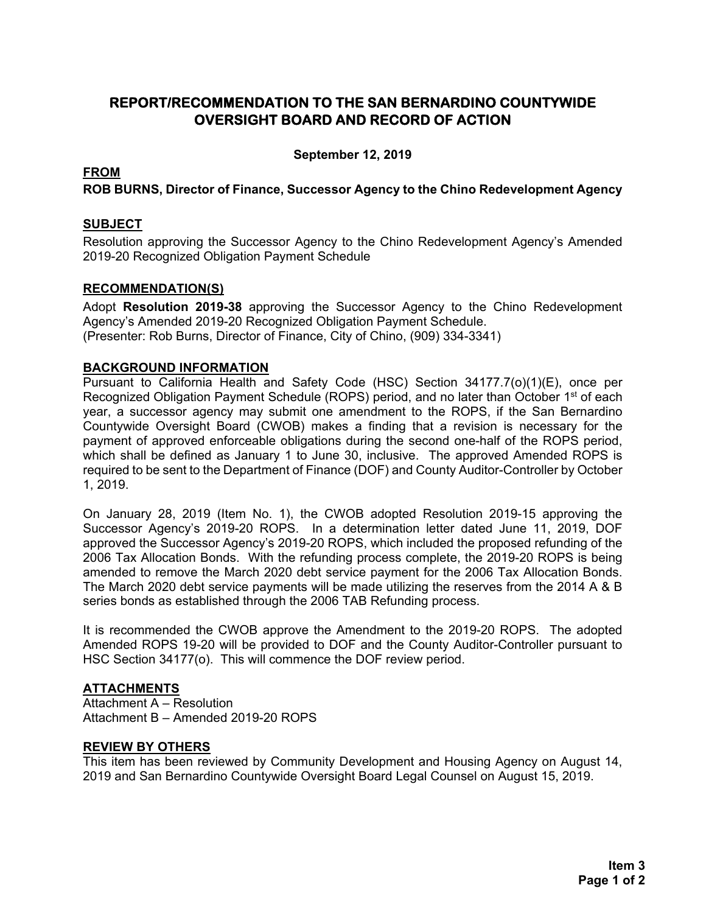### **REPORT/RECOMMENDATION TO THE SAN BERNARDINO COUNTYWIDE OVERSIGHT BOARD AND RECORD OF ACTION**

**September 12, 2019** 

#### **FROM**

**ROB BURNS, Director of Finance, Successor Agency to the Chino Redevelopment Agency**

#### **SUBJECT**

Resolution approving the Successor Agency to the Chino Redevelopment Agency's Amended 2019-20 Recognized Obligation Payment Schedule

#### **RECOMMENDATION(S)**

Adopt **Resolution 2019-38** approving the Successor Agency to the Chino Redevelopment Agency's Amended 2019-20 Recognized Obligation Payment Schedule. (Presenter: Rob Burns, Director of Finance, City of Chino, (909) 334-3341).

#### **BACKGROUND INFORMATION**

Pursuant to California Health and Safety Code (HSC) Section 34177.7(o)(1)(E), once per Recognized Obligation Payment Schedule (ROPS) period, and no later than October 1<sup>st</sup> of each year, a successor agency may submit one amendment to the ROPS, if the San Bernardino Countywide Oversight Board (CWOB) makes a finding that a revision is necessary for the payment of approved enforceable obligations during the second one-half of the ROPS period, which shall be defined as January 1 to June 30, inclusive. The approved Amended ROPS is required to be sent to the Department of Finance (DOF) and County Auditor-Controller by October 1, 2019.

On January 28, 2019 (Item No. 1), the CWOB adopted Resolution 2019-15 approving the Successor Agency's 2019-20 ROPS. In a determination letter dated June 11, 2019, DOF approved the Successor Agency's 2019-20 ROPS, which included the proposed refunding of the 2006 Tax Allocation Bonds. With the refunding process complete, the 2019-20 ROPS is being amended to remove the March 2020 debt service payment for the 2006 Tax Allocation Bonds. The March 2020 debt service payments will be made utilizing the reserves from the 2014 A & B series bonds as established through the 2006 TAB Refunding process.

It is recommended the CWOB approve the Amendment to the 2019-20 ROPS. The adopted Amended ROPS 19-20 will be provided to DOF and the County Auditor-Controller pursuant to HSC Section 34177(o). This will commence the DOF review period.

#### **ATTACHMENTS**

Attachment A – Resolution Attachment B – Amended 2019-20 ROPS

#### **REVIEW BY OTHERS**

This item has been reviewed by Community Development and Housing Agency on August 14, 2019 and San Bernardino Countywide Oversight Board Legal Counsel on August 15, 2019.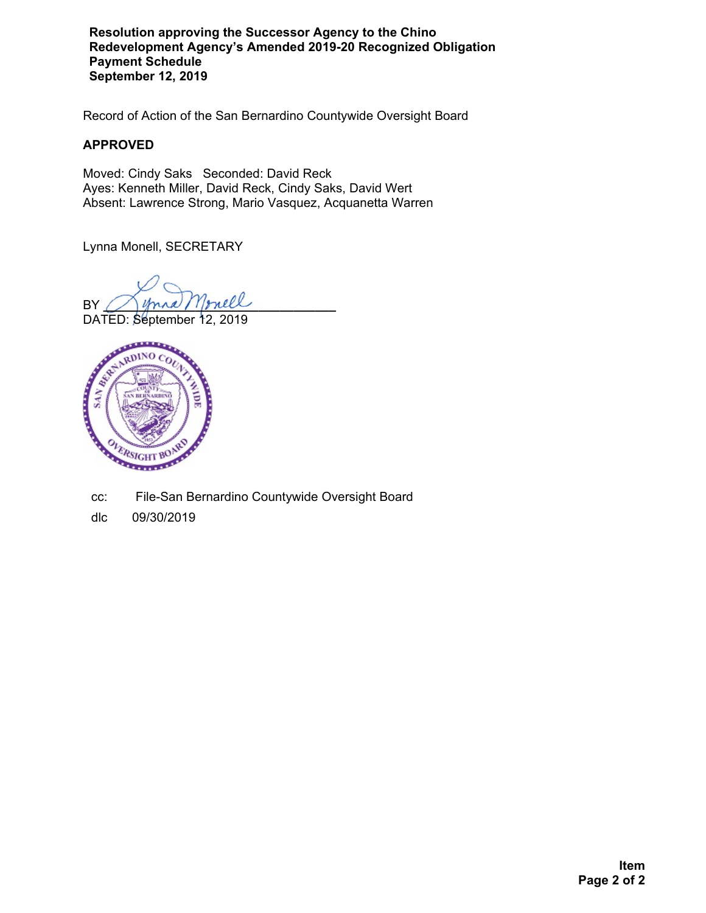**Resolution approving the Successor Agency to the Chino Redevelopment Agency's Amended 2019-20 Recognized Obligation Payment Schedule September 12, 2019**

Record of Action of the San Bernardino Countywide Oversight Board

#### **APPROVED**

Moved: Cindy Saks Seconded: David Reck Ayes: Kenneth Miller, David Reck, Cindy Saks, David Wert Absent: Lawrence Strong, Mario Vasquez, Acquanetta Warren

Lynna Monell, SECRETARY

 $BY$  mana / 1prell

DATED: September 12, 2019



cc: File-San Bernardino Countywide Oversight Board

dlc 09/30/2019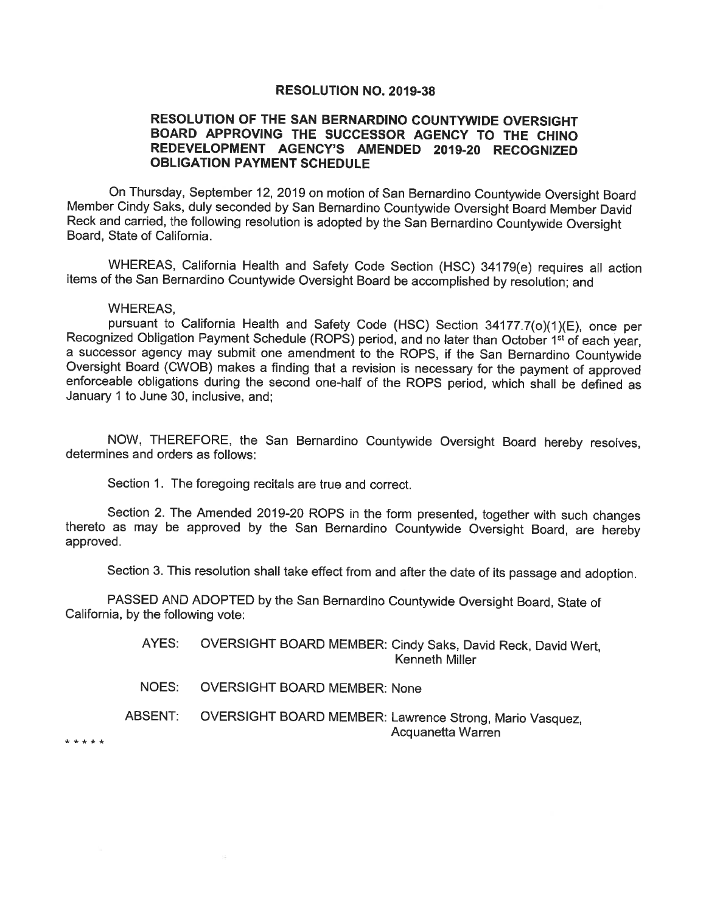#### **RESOLUTION NO. 2019-38**

#### RESOLUTION OF THE SAN BERNARDINO COUNTYWIDE OVERSIGHT BOARD APPROVING THE SUCCESSOR AGENCY TO THE CHINO REDEVELOPMENT AGENCY'S AMENDED 2019-20 RECOGNIZED **OBLIGATION PAYMENT SCHEDULE**

On Thursday, September 12, 2019 on motion of San Bernardino Countywide Oversight Board Member Cindy Saks, duly seconded by San Bernardino Countywide Oversight Board Member David Reck and carried, the following resolution is adopted by the San Bernardino Countywide Oversight Board, State of California.

WHEREAS, California Health and Safety Code Section (HSC) 34179(e) requires all action items of the San Bernardino Countywide Oversight Board be accomplished by resolution; and

#### **WHEREAS.**

pursuant to California Health and Safety Code (HSC) Section 34177.7(o)(1)(E), once per Recognized Obligation Payment Schedule (ROPS) period, and no later than October 1<sup>st</sup> of each year, a successor agency may submit one amendment to the ROPS, if the San Bernardino Countywide Oversight Board (CWOB) makes a finding that a revision is necessary for the payment of approved enforceable obligations during the second one-half of the ROPS period, which shall be defined as January 1 to June 30, inclusive, and;

NOW, THEREFORE, the San Bernardino Countywide Oversight Board hereby resolves, determines and orders as follows:

Section 1. The foregoing recitals are true and correct.

Section 2. The Amended 2019-20 ROPS in the form presented, together with such changes thereto as may be approved by the San Bernardino Countywide Oversight Board, are hereby approved.

Section 3. This resolution shall take effect from and after the date of its passage and adoption.

PASSED AND ADOPTED by the San Bernardino Countywide Oversight Board, State of California, by the following vote:

> AYES: OVERSIGHT BOARD MEMBER: Cindy Saks, David Reck, David Wert. Kenneth Miller

NOES: **OVERSIGHT BOARD MEMBER: None** 

ABSENT: OVERSIGHT BOARD MEMBER: Lawrence Strong, Mario Vasquez, Acquanetta Warren

\* \* \* \* \*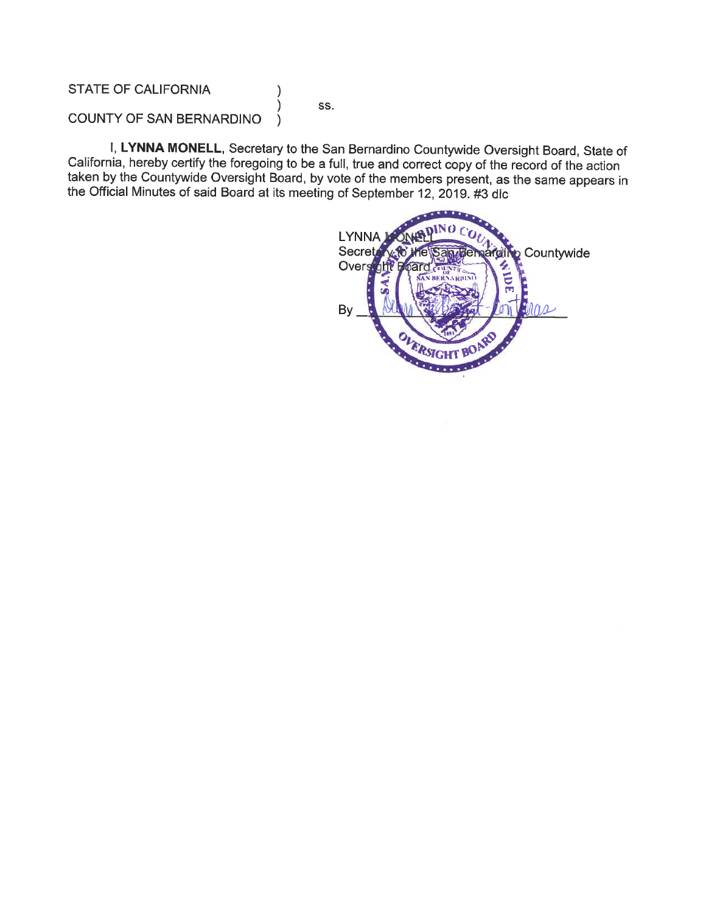**STATE OF CALIFORNIA** 

SS.

 $\lambda$ ١

COUNTY OF SAN BERNARDINO  $\lambda$ 

I, LYNNA MONELL, Secretary to the San Bernardino Countywide Oversight Board, State of California, hereby certify the foregoing to be a full, true and correct copy of the record of the action taken by the Countywide Oversight Board, by vote of the members present, as the same appears in the Official Minutes of said Board at its meeting of September 12, 2019. #3 dlc

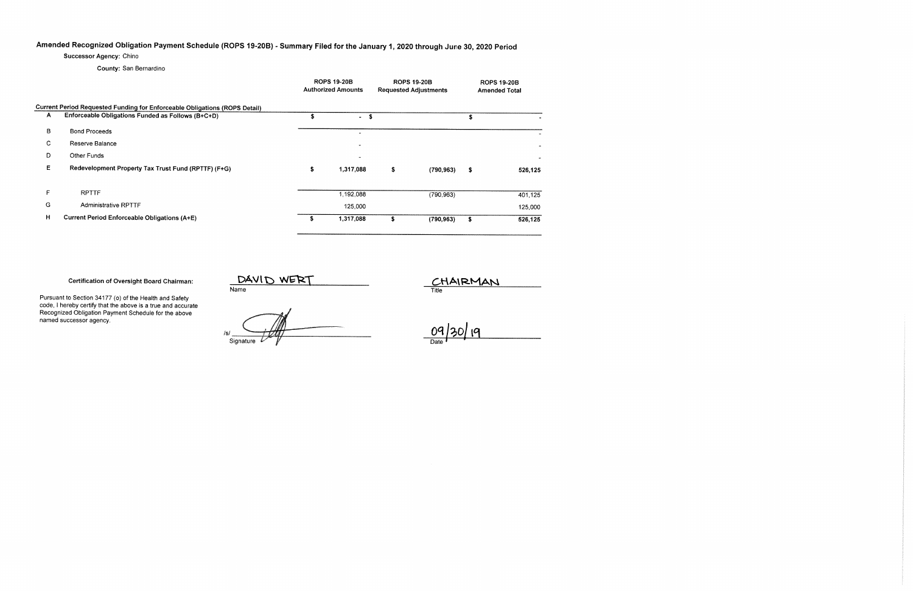## Amended Recognized Obligation Payment Schedule (ROPS 19-20B) - Summary Filed for the January 1, 2020 through June 30, 2020 Period

Successor Agency: Chino

County: San Bernardino

|                                                                            |                                                     |    | <b>ROPS 19-20B</b><br><b>Authorized Amounts</b> |    | <b>ROPS 19-20B</b><br><b>Requested Adjustments</b> | <b>ROPS 19-20B</b><br><b>Amended Total</b> |         |  |  |  |  |
|----------------------------------------------------------------------------|-----------------------------------------------------|----|-------------------------------------------------|----|----------------------------------------------------|--------------------------------------------|---------|--|--|--|--|
| Current Period Requested Funding for Enforceable Obligations (ROPS Detail) |                                                     |    |                                                 |    |                                                    |                                            |         |  |  |  |  |
| A                                                                          | Enforceable Obligations Funded as Follows (B+C+D)   |    | - \$                                            |    |                                                    |                                            |         |  |  |  |  |
| B                                                                          | <b>Bond Proceeds</b>                                |    | $\sim$                                          |    |                                                    |                                            |         |  |  |  |  |
| C.                                                                         | Reserve Balance                                     |    |                                                 |    |                                                    |                                            |         |  |  |  |  |
| D                                                                          | Other Funds                                         |    |                                                 |    |                                                    |                                            |         |  |  |  |  |
| Е                                                                          | Redevelopment Property Tax Trust Fund (RPTTF) (F+G) | \$ | 1,317,088                                       | \$ | (790, 963)                                         | \$                                         | 526,125 |  |  |  |  |
| F.                                                                         | <b>RPTTF</b>                                        |    | 1,192,088                                       |    | (790, 963)                                         |                                            | 401,125 |  |  |  |  |
| G                                                                          | <b>Administrative RPTTF</b>                         |    | 125,000                                         |    |                                                    |                                            | 125,000 |  |  |  |  |
| н                                                                          | <b>Current Period Enforceable Obligations (A+E)</b> | s  | 1,317,088                                       | s. | (790, 963)                                         | 5                                          | 526,125 |  |  |  |  |

**Certification of Oversight Board Chairman:** 

Pursuant to Section 34177 (o) of the Health and Safety code, I hereby certify that the above is a true and accurate<br>Recognized Obligation Payment Schedule for the above named successor agency.

DAVID WERT

CHAIRMAN

Sianature

09/30/19